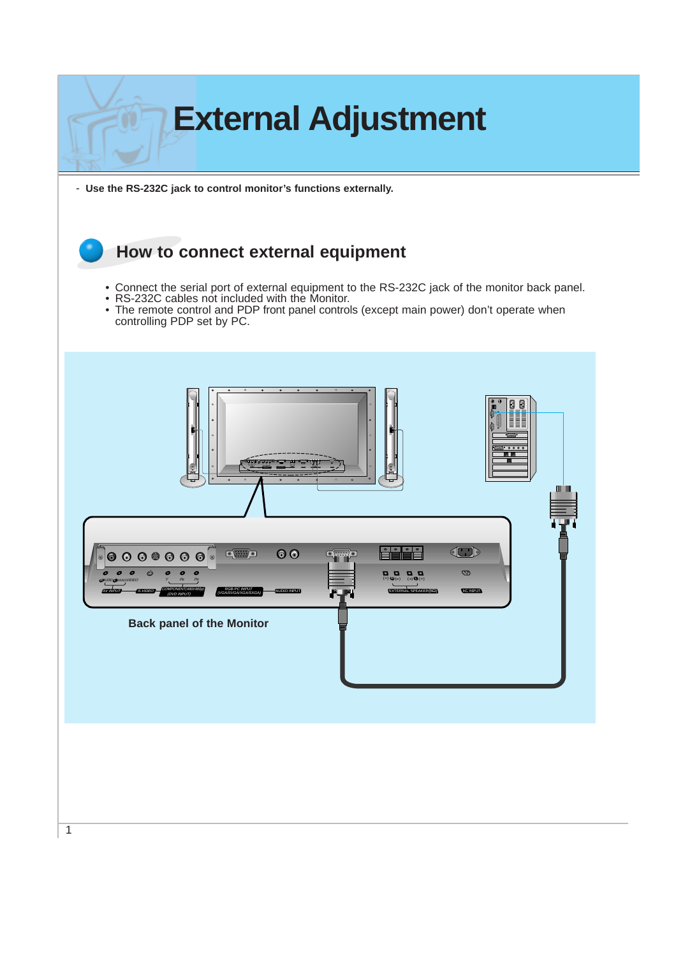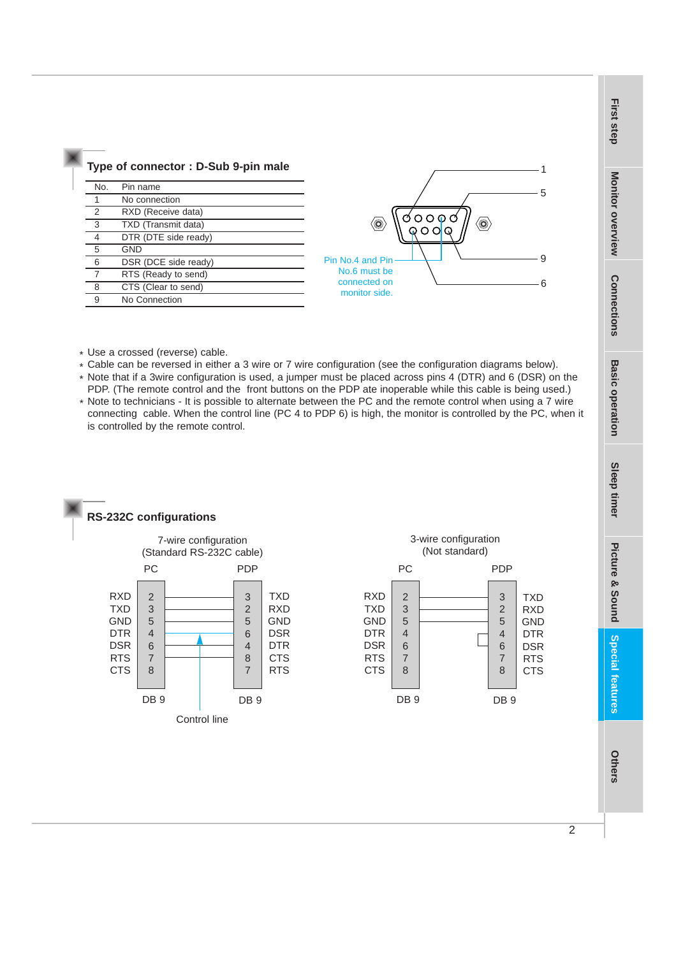|     | Type of connector: D-Sub 9-pin male |
|-----|-------------------------------------|
| No. | Pin name                            |
| 1   | No connection                       |
| 2   | RXD (Receive data)                  |
| 3   | TXD (Transmit data)                 |
| 4   | DTR (DTE side ready)                |
| 5   | <b>GND</b>                          |
| 6   | DSR (DCE side ready)                |
| 7   | RTS (Ready to send)                 |
| 8   | CTS (Clear to send)                 |
| 9   | No Connection                       |



- \* Use a crossed (reverse) cable.
- \* Cable can be reversed in either a 3 wire or 7 wire configuration (see the configuration diagrams below).
- \* Note that if a 3wire configuration is used, a jumper must be placed across pins 4 (DTR) and 6 (DSR) on the PDP. (The remote control and the front buttons on the PDP ate inoperable while this cable is being used.)
- \* Note to technicians It is possible to alternate between the PC and the remote control when using a 7 wire connecting cable. When the control line (PC 4 to PDP 6) is high, the monitor is controlled by the PC, when it is controlled by the remote control.





**First step**

**Others**

**Special features**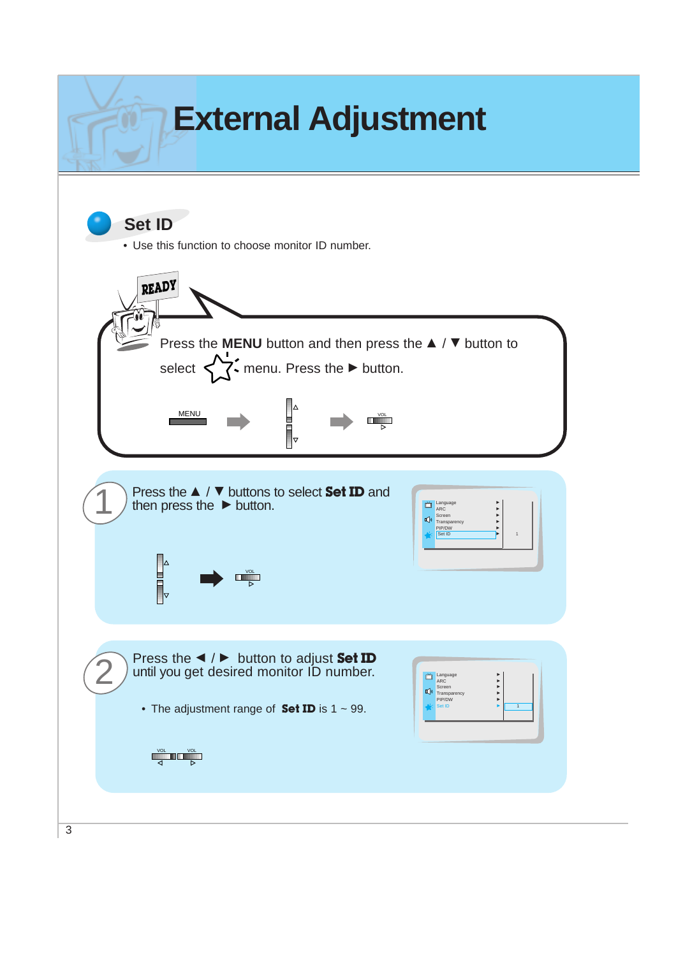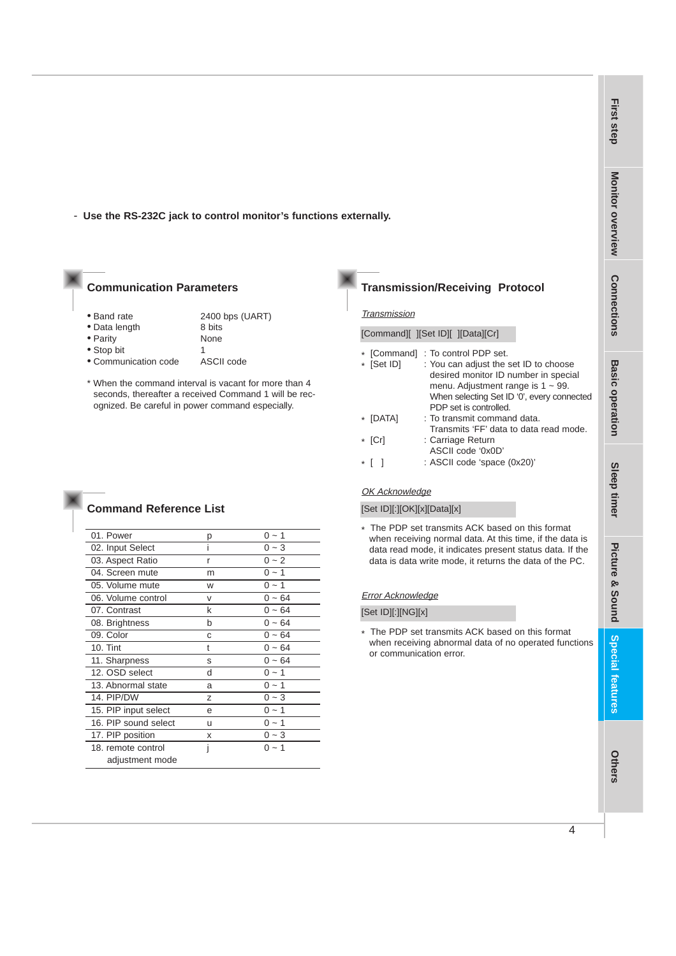- **Use the RS-232C jack to control monitor's functions externally.**

#### **Communication Parameters**

• Band rate 2400 bps (UART)

• Data length 8 bits<br>• Parity 8 None  $\bullet$  Parity

• Stop bit 1

• Communication code ASCII code

**Command Reference List**

\* When the command interval is vacant for more than 4 seconds, thereafter a received Command 1 will be recognized. Be careful in power command especially.

| р | 0 ~ 1    |
|---|----------|
|   | $0 - 3$  |
| r | $0 - 2$  |
| m | $0 - 1$  |
| W | $0 - 1$  |
| v | $0 - 64$ |
| k | $0 - 64$ |
| b | $0 - 64$ |
| C | $0 - 64$ |
| t | 0 ~ 64   |
| S | $0 - 64$ |
| d | $0 - 1$  |
| a | $0 - 1$  |
| Z | $0 - 3$  |
| e | $0 - 1$  |
| u | $0 - 1$  |
| x | $0 - 3$  |
|   | $0 - 1$  |
|   |          |
|   |          |

## **Transmission/Receiving Protocol**

#### **Transmission**

[Command][ ][Set ID][ ][Data][Cr]

| * [Command] | : To control PDP set.                      |
|-------------|--------------------------------------------|
| * [Set ID]  | : You can adjust the set ID to choose      |
|             | desired monitor ID number in special       |
|             | menu. Adjustment range is $1 \sim 99$ .    |
|             | When selecting Set ID '0', every connected |
|             | PDP set is controlled.                     |
| * [DATA]    | : To transmit command data.                |
|             | Transmits 'FF' data to data read mode.     |
| * [Cr]      | : Carriage Return                          |
|             | ASCII code '0x0D'                          |
|             | : ASCII code 'space (0x20)'                |

#### OK Acknowledge

[Set ID][:][OK][x][Data][x]

\* The PDP set transmits ACK based on this format when receiving normal data. At this time, if the data is data read mode, it indicates present status data. If the data is data write mode, it returns the data of the PC.

#### Error Acknowledge

#### [Set ID][:][NG][x]

\* The PDP set transmits ACK based on this format when receiving abnormal data of no operated functions or communication error.

**Others**

**First step**

**Monitor overview**

Monitor overview

**Connections**

**Connections**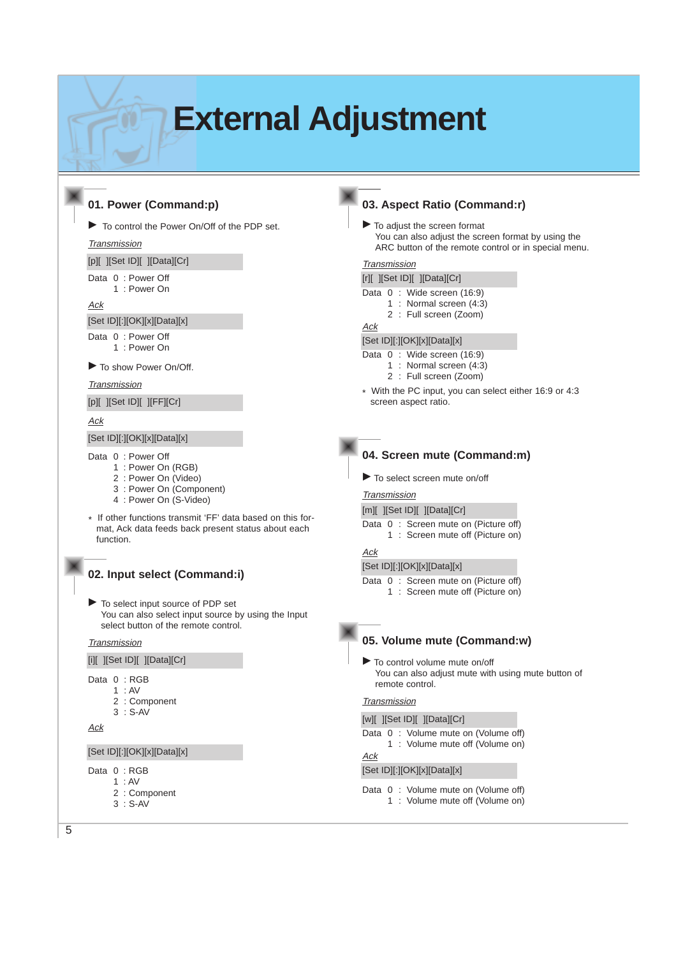# **External Adjustment**

## **01. Power (Command:p)**

 $\blacktriangleright$  To control the Power On/Off of the PDP set.

**Transmission** 

[p][ ][Set ID][ ][Data][Cr]

- Data 0 : Power Off 1 : Power On
	-

Ack

[Set ID][:][OK][x][Data][x]

Data 0 : Power Off 1 : Power On

 $\blacktriangleright$  To show Power On/Off.

#### **Transmission**

[p][ ][Set ID][ ][FF][Cr]

#### Ack

[Set ID][:][OK][x][Data][x]

- Data 0 : Power Off
	- 1 : Power On (RGB)
	- 2 : Power On (Video)
	- 3 : Power On (Component)
	- 4 : Power On (S-Video)
- \* If other functions transmit 'FF' data based on this format, Ack data feeds back present status about each function.

## **02. Input select (Command:i)**

 $\blacktriangleright$  To select input source of PDP set You can also select input source by using the Input select button of the remote control.

#### **Transmission**

[i][ ][Set ID][ ][Data][Cr]

- Data 0 : RGB
	- 1 : AV
		- 2 : Component
	- 3 : S-AV

## Ack

#### [Set ID][:][OK][x][Data][x]

- Data 0 : RGB
	- 1 : AV
	- 2 : Component 3 : S-AV

## **03. Aspect Ratio (Command:r)**

 $\blacktriangleright$  To adjust the screen format You can also adjust the screen format by using the ARC button of the remote control or in special menu.

#### **Transmission**

|  |  |  | [r][ ][Set ID][ ][Data][Cr] |                            |  |
|--|--|--|-----------------------------|----------------------------|--|
|  |  |  |                             | Data 0: Wide screen (16:9) |  |

- 1 : Normal screen (4:3)
- 2 : Full screen (Zoom)

#### Ack

#### [Set ID][:][OK][x][Data][x]

- Data 0: Wide screen (16:9)
	- 1 : Normal screen (4:3)
	- 2 : Full screen (Zoom)
- \* With the PC input, you can select either 16:9 or 4:3 screen aspect ratio.



#### **04. Screen mute (Command:m)**

 $\blacktriangleright$  To select screen mute on/off

## **Transmission**

- [m][ ][Set ID][ ][Data][Cr]
- Data 0 : Screen mute on (Picture off) 1 : Screen mute off (Picture on)

#### Ack

#### [Set ID][:][OK][x][Data][x]

Data 0 : Screen mute on (Picture off) 1 : Screen mute off (Picture on)

## **05. Volume mute (Command:w)**

 $\blacktriangleright$  To control volume mute on/off You can also adjust mute with using mute button of remote control.

#### **Transmission**

#### [w][ ][Set ID][ ][Data][Cr]

- Data 0: Volume mute on (Volume off)
	- 1 : Volume mute off (Volume on)

## Ack

#### [Set ID][:][OK][x][Data][x]

- Data 0 : Volume mute on (Volume off)
	- 1 : Volume mute off (Volume on)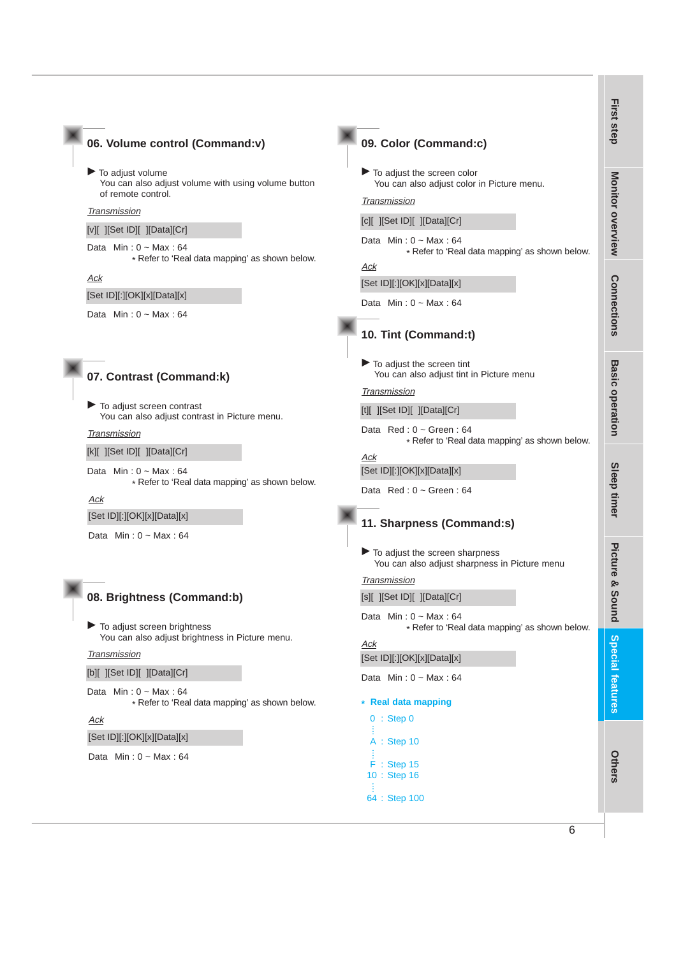#### **06. Volume control (Command:v)**

 $\blacktriangleright$  To adjust volume You can also adjust volume with using volume button of remote control.

#### **Transmission**

[v][ ][Set ID][ ][Data][Cr]

Data  $Min: 0 ~- Max: 64$ \* Refer to 'Real data mapping' as shown below.

Ack

[Set ID][:][OK][x][Data][x]

Data  $Min: 0 ~$ - Max: 64

#### **07. Contrast (Command:k)**

To adjust screen contrast You can also adjust contrast in Picture menu.

#### **Transmission**

[k][ ][Set ID][ ][Data][Cr]

Data  $Min: 0 ~- Max: 64$ \* Refer to 'Real data mapping' as shown below.

Ack

#### [Set ID][:][OK][x][Data][x]

Data  $Min: 0 ~ Max: 64$ 

#### **08. Brightness (Command:b)**

 $\blacktriangleright$  To adjust screen brightness You can also adjust brightness in Picture menu.

#### **Transmission**

[b][ ][Set ID][ ][Data][Cr]

Data  $Min: 0 ~ Max: 64$ \* Refer to 'Real data mapping' as shown below.

#### Ack

[Set ID][:][OK][x][Data][x]

Data  $Min: 0 \sim Max: 64$ 

| 09. Color (Command:c)                                                                                                                                                                            | irst step               |
|--------------------------------------------------------------------------------------------------------------------------------------------------------------------------------------------------|-------------------------|
| $\blacktriangleright$ To adjust the screen color<br>You can also adjust color in Picture menu.<br>Transmission<br>[c][ ][Set ID][ ][Data][Cr]                                                    | <b>Monitor overview</b> |
| Data Min: $0 \sim \text{Max}$ : 64<br>* Refer to 'Real data mapping' as shown below.<br>Ack                                                                                                      |                         |
| [Set ID][:][OK][x][Data][x]                                                                                                                                                                      |                         |
| Data Min: $0 \sim \text{Max}: 64$<br>10. Tint (Command:t)                                                                                                                                        | <b>Connections</b>      |
| $\blacktriangleright$ To adjust the screen tint<br>You can also adjust tint in Picture menu<br>Transmission<br>[t][ ][Set ID][ ][Data][Cr]<br>Data $Red: 0 - Green: 64$                          | <b>Basic operation</b>  |
| * Refer to 'Real data mapping' as shown below.<br>Ack<br>[Set ID][:][OK][x][Data][x]<br>Data $Red: 0 - Green: 64$<br>11. Sharpness (Command:s)                                                   | Sleep timer             |
| $\blacktriangleright$ To adjust the screen sharpness<br>You can also adjust sharpness in Picture menu<br><b>Transmission</b><br>[s][ ][Set ID][ ][Data][Cr]<br>Data Min: $0 \sim \text{Max}: 64$ | Picture &<br>ທ<br>puno  |
| * Refer to 'Real data mapping' as shown below.<br>Ack                                                                                                                                            |                         |
| [Set ID][:][OK][x][Data][x]                                                                                                                                                                      |                         |
| Data Min: $0 \sim \text{Max}: 64$                                                                                                                                                                |                         |
| <b>Real data mapping</b><br>$:$ Step 0<br>0                                                                                                                                                      | Special teatures        |
| Α<br>: Step 10<br>F<br>$:$ Step 15<br>10<br>: Step 16<br>64 : Step 100                                                                                                                           | <b>Athers</b>           |

 $\overline{6}$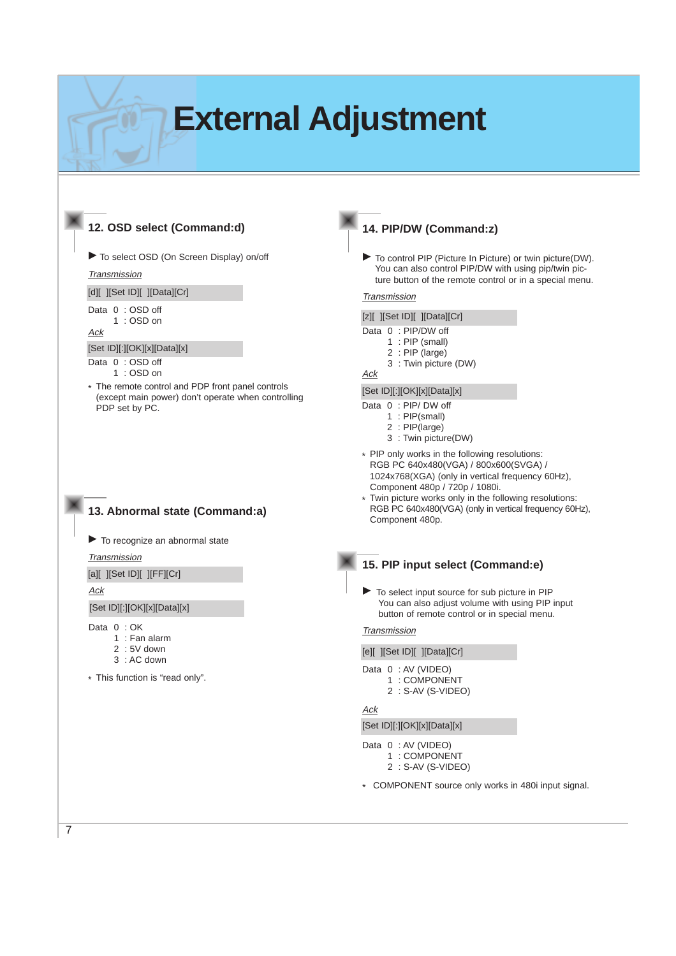# **External Adjustment**

## **12. OSD select (Command:d)**

 $\blacktriangleright$  To select OSD (On Screen Display) on/off

**Transmission** 

[d][ ][Set ID][ ][Data][Cr]

Data 0 : OSD off

1 : OSD on

Ack

[Set ID][:][OK][x][Data][x]

Data 0 : OSD off

1 : OSD on

\* The remote control and PDP front panel controls (except main power) don't operate when controlling PDP set by PC.

## **13. Abnormal state (Command:a)**

 $\blacktriangleright$  To recognize an abnormal state

**Transmission** 

[a][ ][Set ID][ ][FF][Cr]

Ack

7

[Set ID][:][OK][x][Data][x]

Data 0 : OK

- 1 : Fan alarm
- 2 : 5V down

3 : AC down

\* This function is "read only".

## **14. PIP/DW (Command:z)**

 $\blacktriangleright$  To control PIP (Picture In Picture) or twin picture(DW). You can also control PIP/DW with using pip/twin picture button of the remote control or in a special menu.

#### **Transmission**

[z][ ][Set ID][ ][Data][Cr]

- Data 0 : PIP/DW off
	- $1$  : PIP (small)
	- 2 : PIP (large)
	- 3 : Twin picture (DW)

## Ack

[Set ID][:][OK][x][Data][x]

Data 0 : PIP/ DW off

- 1 : PIP(small)
- 2 : PIP(large)
- 3 : Twin picture(DW)
- \* PIP only works in the following resolutions: RGB PC 640x480(VGA) / 800x600(SVGA) / 1024x768(XGA) (only in vertical frequency 60Hz), Component 480p / 720p / 1080i.
- Twin picture works only in the following resolutions: RGB PC 640x480(VGA) (only in vertical frequency 60Hz), Component 480p.

## **15. PIP input select (Command:e)**

To select input source for sub picture in PIP You can also adjust volume with using PIP input button of remote control or in special menu.

#### **Transmission**

[e][ ][Set ID][ ][Data][Cr]

Data 0 : AV (VIDEO)

- 1 : COMPONENT
- 2 : S-AV (S-VIDEO)

#### Ack

[Set ID][:][OK][x][Data][x]

Data 0 : AV (VIDEO)

- 1 : COMPONENT
- 2 : S-AV (S-VIDEO)
- \* COMPONENT source only works in 480i input signal.